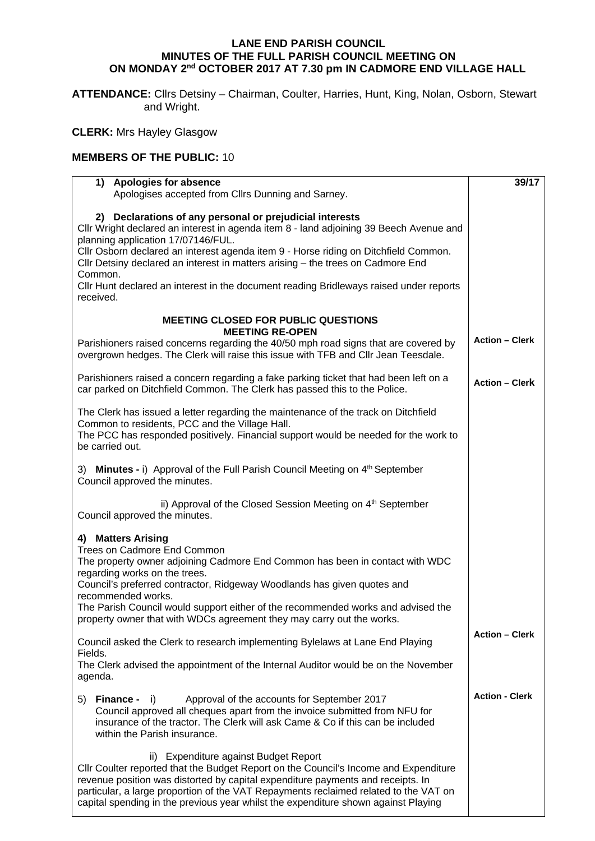## **LANE END PARISH COUNCIL MINUTES OF THE FULL PARISH COUNCIL MEETING ON ON MONDAY 2nd OCTOBER 2017 AT 7.30 pm IN CADMORE END VILLAGE HALL**

**ATTENDANCE:** Cllrs Detsiny – Chairman, Coulter, Harries, Hunt, King, Nolan, Osborn, Stewart and Wright.

## **CLERK:** Mrs Hayley Glasgow

## **MEMBERS OF THE PUBLIC:** 10

| 1) Apologies for absence<br>Apologises accepted from Cllrs Dunning and Sarney.                                                                                                                                                                                                                                                                                                                                                                                                       | 39/17                 |
|--------------------------------------------------------------------------------------------------------------------------------------------------------------------------------------------------------------------------------------------------------------------------------------------------------------------------------------------------------------------------------------------------------------------------------------------------------------------------------------|-----------------------|
| 2) Declarations of any personal or prejudicial interests<br>Cllr Wright declared an interest in agenda item 8 - land adjoining 39 Beech Avenue and<br>planning application 17/07146/FUL.<br>Cllr Osborn declared an interest agenda item 9 - Horse riding on Ditchfield Common.<br>Cllr Detsiny declared an interest in matters arising - the trees on Cadmore End<br>Common.<br>CIIr Hunt declared an interest in the document reading Bridleways raised under reports<br>received. |                       |
| <b>MEETING CLOSED FOR PUBLIC QUESTIONS</b><br><b>MEETING RE-OPEN</b>                                                                                                                                                                                                                                                                                                                                                                                                                 |                       |
| Parishioners raised concerns regarding the 40/50 mph road signs that are covered by<br>overgrown hedges. The Clerk will raise this issue with TFB and Cllr Jean Teesdale.                                                                                                                                                                                                                                                                                                            | <b>Action - Clerk</b> |
| Parishioners raised a concern regarding a fake parking ticket that had been left on a<br>car parked on Ditchfield Common. The Clerk has passed this to the Police.                                                                                                                                                                                                                                                                                                                   | <b>Action - Clerk</b> |
| The Clerk has issued a letter regarding the maintenance of the track on Ditchfield<br>Common to residents, PCC and the Village Hall.<br>The PCC has responded positively. Financial support would be needed for the work to<br>be carried out.                                                                                                                                                                                                                                       |                       |
| 3) Minutes - i) Approval of the Full Parish Council Meeting on 4 <sup>th</sup> September<br>Council approved the minutes.                                                                                                                                                                                                                                                                                                                                                            |                       |
| ii) Approval of the Closed Session Meeting on 4 <sup>th</sup> September<br>Council approved the minutes.                                                                                                                                                                                                                                                                                                                                                                             |                       |
| 4) Matters Arising<br>Trees on Cadmore End Common<br>The property owner adjoining Cadmore End Common has been in contact with WDC<br>regarding works on the trees.<br>Council's preferred contractor, Ridgeway Woodlands has given quotes and<br>recommended works.<br>The Parish Council would support either of the recommended works and advised the<br>property owner that with WDCs agreement they may carry out the works.                                                     |                       |
| Council asked the Clerk to research implementing Bylelaws at Lane End Playing<br>Fields.<br>The Clerk advised the appointment of the Internal Auditor would be on the November<br>agenda.                                                                                                                                                                                                                                                                                            | <b>Action - Clerk</b> |
| <b>Finance -</b> i)<br>Approval of the accounts for September 2017<br>5)<br>Council approved all cheques apart from the invoice submitted from NFU for<br>insurance of the tractor. The Clerk will ask Came & Co if this can be included<br>within the Parish insurance.                                                                                                                                                                                                             | <b>Action - Clerk</b> |
| ii) Expenditure against Budget Report<br>CIIr Coulter reported that the Budget Report on the Council's Income and Expenditure<br>revenue position was distorted by capital expenditure payments and receipts. In<br>particular, a large proportion of the VAT Repayments reclaimed related to the VAT on<br>capital spending in the previous year whilst the expenditure shown against Playing                                                                                       |                       |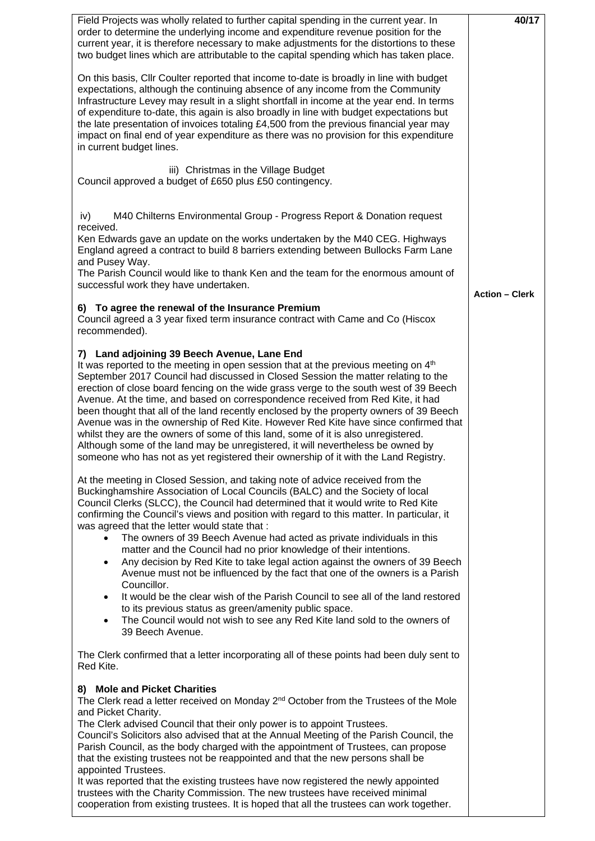| Field Projects was wholly related to further capital spending in the current year. In                                                                                                                                                                                                                                                                                                                                                                                                                                                                                                                                                                                                                                                                                                                                                                                                                                                                                                                                | 40/17                 |
|----------------------------------------------------------------------------------------------------------------------------------------------------------------------------------------------------------------------------------------------------------------------------------------------------------------------------------------------------------------------------------------------------------------------------------------------------------------------------------------------------------------------------------------------------------------------------------------------------------------------------------------------------------------------------------------------------------------------------------------------------------------------------------------------------------------------------------------------------------------------------------------------------------------------------------------------------------------------------------------------------------------------|-----------------------|
| order to determine the underlying income and expenditure revenue position for the<br>current year, it is therefore necessary to make adjustments for the distortions to these<br>two budget lines which are attributable to the capital spending which has taken place.                                                                                                                                                                                                                                                                                                                                                                                                                                                                                                                                                                                                                                                                                                                                              |                       |
| On this basis, Cllr Coulter reported that income to-date is broadly in line with budget<br>expectations, although the continuing absence of any income from the Community<br>Infrastructure Levey may result in a slight shortfall in income at the year end. In terms<br>of expenditure to-date, this again is also broadly in line with budget expectations but<br>the late presentation of invoices totaling £4,500 from the previous financial year may<br>impact on final end of year expenditure as there was no provision for this expenditure<br>in current budget lines.                                                                                                                                                                                                                                                                                                                                                                                                                                    |                       |
| iii) Christmas in the Village Budget<br>Council approved a budget of £650 plus £50 contingency.                                                                                                                                                                                                                                                                                                                                                                                                                                                                                                                                                                                                                                                                                                                                                                                                                                                                                                                      |                       |
| M40 Chilterns Environmental Group - Progress Report & Donation request<br>iv)<br>received.                                                                                                                                                                                                                                                                                                                                                                                                                                                                                                                                                                                                                                                                                                                                                                                                                                                                                                                           |                       |
| Ken Edwards gave an update on the works undertaken by the M40 CEG. Highways<br>England agreed a contract to build 8 barriers extending between Bullocks Farm Lane<br>and Pusey Way.                                                                                                                                                                                                                                                                                                                                                                                                                                                                                                                                                                                                                                                                                                                                                                                                                                  |                       |
| The Parish Council would like to thank Ken and the team for the enormous amount of<br>successful work they have undertaken.                                                                                                                                                                                                                                                                                                                                                                                                                                                                                                                                                                                                                                                                                                                                                                                                                                                                                          | <b>Action - Clerk</b> |
| 6) To agree the renewal of the Insurance Premium<br>Council agreed a 3 year fixed term insurance contract with Came and Co (Hiscox<br>recommended).                                                                                                                                                                                                                                                                                                                                                                                                                                                                                                                                                                                                                                                                                                                                                                                                                                                                  |                       |
| 7) Land adjoining 39 Beech Avenue, Lane End<br>It was reported to the meeting in open session that at the previous meeting on 4 <sup>th</sup><br>September 2017 Council had discussed in Closed Session the matter relating to the<br>erection of close board fencing on the wide grass verge to the south west of 39 Beech<br>Avenue. At the time, and based on correspondence received from Red Kite, it had<br>been thought that all of the land recently enclosed by the property owners of 39 Beech<br>Avenue was in the ownership of Red Kite. However Red Kite have since confirmed that<br>whilst they are the owners of some of this land, some of it is also unregistered.<br>Although some of the land may be unregistered, it will nevertheless be owned by<br>someone who has not as yet registered their ownership of it with the Land Registry.                                                                                                                                                       |                       |
| At the meeting in Closed Session, and taking note of advice received from the<br>Buckinghamshire Association of Local Councils (BALC) and the Society of local<br>Council Clerks (SLCC), the Council had determined that it would write to Red Kite<br>confirming the Council's views and position with regard to this matter. In particular, it<br>was agreed that the letter would state that:<br>The owners of 39 Beech Avenue had acted as private individuals in this<br>matter and the Council had no prior knowledge of their intentions.<br>Any decision by Red Kite to take legal action against the owners of 39 Beech<br>$\bullet$<br>Avenue must not be influenced by the fact that one of the owners is a Parish<br>Councillor.<br>It would be the clear wish of the Parish Council to see all of the land restored<br>$\bullet$<br>to its previous status as green/amenity public space.<br>The Council would not wish to see any Red Kite land sold to the owners of<br>$\bullet$<br>39 Beech Avenue. |                       |
| The Clerk confirmed that a letter incorporating all of these points had been duly sent to<br>Red Kite.                                                                                                                                                                                                                                                                                                                                                                                                                                                                                                                                                                                                                                                                                                                                                                                                                                                                                                               |                       |
| 8) Mole and Picket Charities<br>The Clerk read a letter received on Monday $2^{nd}$ October from the Trustees of the Mole<br>and Picket Charity.<br>The Clerk advised Council that their only power is to appoint Trustees.<br>Council's Solicitors also advised that at the Annual Meeting of the Parish Council, the<br>Parish Council, as the body charged with the appointment of Trustees, can propose<br>that the existing trustees not be reappointed and that the new persons shall be<br>appointed Trustees.<br>It was reported that the existing trustees have now registered the newly appointed<br>trustees with the Charity Commission. The new trustees have received minimal<br>cooperation from existing trustees. It is hoped that all the trustees can work together.                                                                                                                                                                                                                              |                       |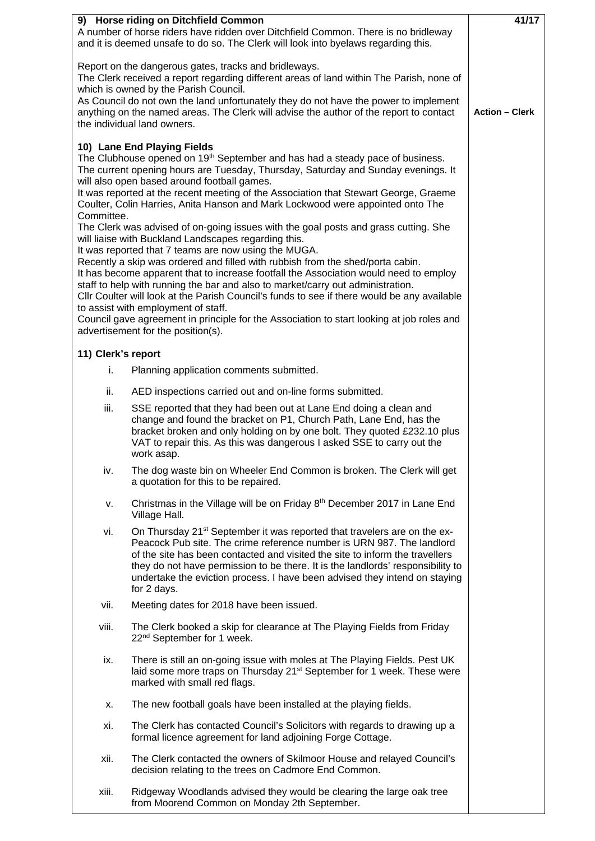| 9) Horse riding on Ditchfield Common<br>A number of horse riders have ridden over Ditchfield Common. There is no bridleway<br>and it is deemed unsafe to do so. The Clerk will look into byelaws regarding this.                                                                                                                                                                                                                                                                                                                                                                                                                                                                                                                                                                                                                                                                                                                                                                                                                                                                                                                                                                                   | 41/17                                                                                                                                                                                                                                                                                                                                                                                                                         |  |
|----------------------------------------------------------------------------------------------------------------------------------------------------------------------------------------------------------------------------------------------------------------------------------------------------------------------------------------------------------------------------------------------------------------------------------------------------------------------------------------------------------------------------------------------------------------------------------------------------------------------------------------------------------------------------------------------------------------------------------------------------------------------------------------------------------------------------------------------------------------------------------------------------------------------------------------------------------------------------------------------------------------------------------------------------------------------------------------------------------------------------------------------------------------------------------------------------|-------------------------------------------------------------------------------------------------------------------------------------------------------------------------------------------------------------------------------------------------------------------------------------------------------------------------------------------------------------------------------------------------------------------------------|--|
| Report on the dangerous gates, tracks and bridleways.<br>The Clerk received a report regarding different areas of land within The Parish, none of<br>which is owned by the Parish Council.                                                                                                                                                                                                                                                                                                                                                                                                                                                                                                                                                                                                                                                                                                                                                                                                                                                                                                                                                                                                         |                                                                                                                                                                                                                                                                                                                                                                                                                               |  |
| As Council do not own the land unfortunately they do not have the power to implement<br>anything on the named areas. The Clerk will advise the author of the report to contact<br>the individual land owners.                                                                                                                                                                                                                                                                                                                                                                                                                                                                                                                                                                                                                                                                                                                                                                                                                                                                                                                                                                                      | <b>Action - Clerk</b>                                                                                                                                                                                                                                                                                                                                                                                                         |  |
| 10) Lane End Playing Fields<br>The Clubhouse opened on 19 <sup>th</sup> September and has had a steady pace of business.<br>The current opening hours are Tuesday, Thursday, Saturday and Sunday evenings. It<br>will also open based around football games.<br>It was reported at the recent meeting of the Association that Stewart George, Graeme<br>Coulter, Colin Harries, Anita Hanson and Mark Lockwood were appointed onto The<br>Committee.<br>The Clerk was advised of on-going issues with the goal posts and grass cutting. She<br>will liaise with Buckland Landscapes regarding this.<br>It was reported that 7 teams are now using the MUGA.<br>Recently a skip was ordered and filled with rubbish from the shed/porta cabin.<br>It has become apparent that to increase footfall the Association would need to employ<br>staff to help with running the bar and also to market/carry out administration.<br>CIIr Coulter will look at the Parish Council's funds to see if there would be any available<br>to assist with employment of staff.<br>Council gave agreement in principle for the Association to start looking at job roles and<br>advertisement for the position(s). |                                                                                                                                                                                                                                                                                                                                                                                                                               |  |
| 11) Clerk's report                                                                                                                                                                                                                                                                                                                                                                                                                                                                                                                                                                                                                                                                                                                                                                                                                                                                                                                                                                                                                                                                                                                                                                                 |                                                                                                                                                                                                                                                                                                                                                                                                                               |  |
| i.                                                                                                                                                                                                                                                                                                                                                                                                                                                                                                                                                                                                                                                                                                                                                                                                                                                                                                                                                                                                                                                                                                                                                                                                 | Planning application comments submitted.                                                                                                                                                                                                                                                                                                                                                                                      |  |
| ii.                                                                                                                                                                                                                                                                                                                                                                                                                                                                                                                                                                                                                                                                                                                                                                                                                                                                                                                                                                                                                                                                                                                                                                                                | AED inspections carried out and on-line forms submitted.                                                                                                                                                                                                                                                                                                                                                                      |  |
| iii.                                                                                                                                                                                                                                                                                                                                                                                                                                                                                                                                                                                                                                                                                                                                                                                                                                                                                                                                                                                                                                                                                                                                                                                               | SSE reported that they had been out at Lane End doing a clean and<br>change and found the bracket on P1, Church Path, Lane End, has the<br>bracket broken and only holding on by one bolt. They quoted £232.10 plus<br>VAT to repair this. As this was dangerous I asked SSE to carry out the<br>work asap.                                                                                                                   |  |
| iv.                                                                                                                                                                                                                                                                                                                                                                                                                                                                                                                                                                                                                                                                                                                                                                                                                                                                                                                                                                                                                                                                                                                                                                                                | The dog waste bin on Wheeler End Common is broken. The Clerk will get<br>a quotation for this to be repaired.                                                                                                                                                                                                                                                                                                                 |  |
| ٧.                                                                                                                                                                                                                                                                                                                                                                                                                                                                                                                                                                                                                                                                                                                                                                                                                                                                                                                                                                                                                                                                                                                                                                                                 | Christmas in the Village will be on Friday 8th December 2017 in Lane End<br>Village Hall.                                                                                                                                                                                                                                                                                                                                     |  |
| vi.                                                                                                                                                                                                                                                                                                                                                                                                                                                                                                                                                                                                                                                                                                                                                                                                                                                                                                                                                                                                                                                                                                                                                                                                | On Thursday 21 <sup>st</sup> September it was reported that travelers are on the ex-<br>Peacock Pub site. The crime reference number is URN 987. The landlord<br>of the site has been contacted and visited the site to inform the travellers<br>they do not have permission to be there. It is the landlords' responsibility to<br>undertake the eviction process. I have been advised they intend on staying<br>for 2 days. |  |
| vii.                                                                                                                                                                                                                                                                                                                                                                                                                                                                                                                                                                                                                                                                                                                                                                                                                                                                                                                                                                                                                                                                                                                                                                                               | Meeting dates for 2018 have been issued.                                                                                                                                                                                                                                                                                                                                                                                      |  |
| viii.                                                                                                                                                                                                                                                                                                                                                                                                                                                                                                                                                                                                                                                                                                                                                                                                                                                                                                                                                                                                                                                                                                                                                                                              | The Clerk booked a skip for clearance at The Playing Fields from Friday<br>22 <sup>nd</sup> September for 1 week.                                                                                                                                                                                                                                                                                                             |  |
| ix.                                                                                                                                                                                                                                                                                                                                                                                                                                                                                                                                                                                                                                                                                                                                                                                                                                                                                                                                                                                                                                                                                                                                                                                                | There is still an on-going issue with moles at The Playing Fields. Pest UK<br>laid some more traps on Thursday 21 <sup>st</sup> September for 1 week. These were<br>marked with small red flags.                                                                                                                                                                                                                              |  |
| Х.                                                                                                                                                                                                                                                                                                                                                                                                                                                                                                                                                                                                                                                                                                                                                                                                                                                                                                                                                                                                                                                                                                                                                                                                 | The new football goals have been installed at the playing fields.                                                                                                                                                                                                                                                                                                                                                             |  |
| xi.                                                                                                                                                                                                                                                                                                                                                                                                                                                                                                                                                                                                                                                                                                                                                                                                                                                                                                                                                                                                                                                                                                                                                                                                | The Clerk has contacted Council's Solicitors with regards to drawing up a<br>formal licence agreement for land adjoining Forge Cottage.                                                                                                                                                                                                                                                                                       |  |
| xii.                                                                                                                                                                                                                                                                                                                                                                                                                                                                                                                                                                                                                                                                                                                                                                                                                                                                                                                                                                                                                                                                                                                                                                                               | The Clerk contacted the owners of Skilmoor House and relayed Council's<br>decision relating to the trees on Cadmore End Common.                                                                                                                                                                                                                                                                                               |  |
| xiii.                                                                                                                                                                                                                                                                                                                                                                                                                                                                                                                                                                                                                                                                                                                                                                                                                                                                                                                                                                                                                                                                                                                                                                                              | Ridgeway Woodlands advised they would be clearing the large oak tree<br>from Moorend Common on Monday 2th September.                                                                                                                                                                                                                                                                                                          |  |